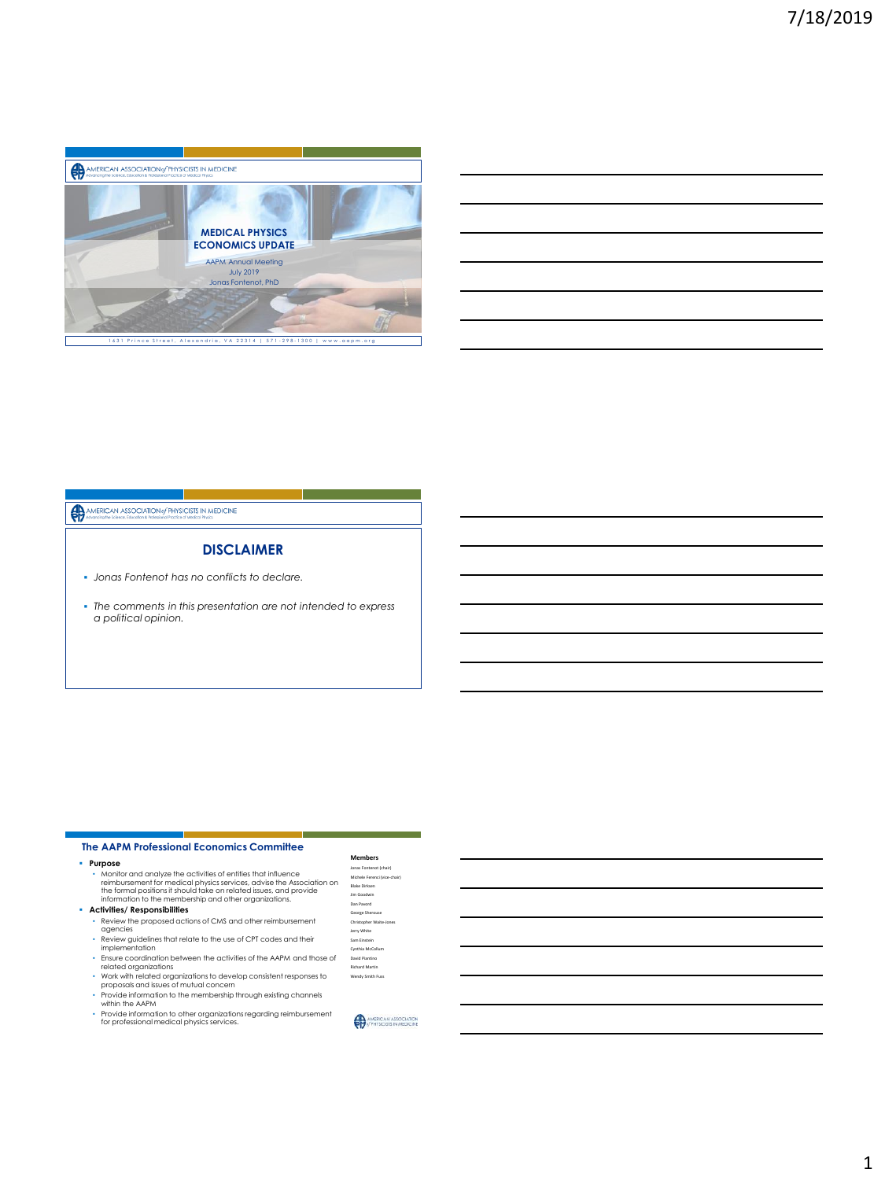

# AMERICAN ASSOCIATION of PHYSICISTS IN MEDICINE

#### **DISCLAIMER**

- *Jonas Fontenot has no conflicts to declare.*
- *The comments in this presentation are not intended to express a political opinion.*

#### • Purpose<br>• Monitor and analyze the activities of entities that influence<br>• reimbursement for medical physics services, advise the Association on<br>• the formal positions it should take on related issues, and provide<br>• infor • Review the proposed actions of CMS and other reimbursement agencies • Review guidelines that relate to the use of CPT codes and their implementation • Ensure coordination between the activities of the AAPM and those of related organizations • Work with related organizations to develop consistent responses to proposals and issues of mutual concern • Provide information to the membership through existing channels within the AAPM **The AAPM Professional Economics Committee Members** Jonas Fontenot (chair) Michele Ferenci (vice-chair) Blake Dirksen Jim Goodwin Dan Pavord George Sherouse Christopher Waite-Jones Jerry White Sam Einstein Cynthia McCollum David Piantino Richard Martin Wendy Smith Fus

- 
- Provide information to other organizations regarding reimbursement for professional medical physics services.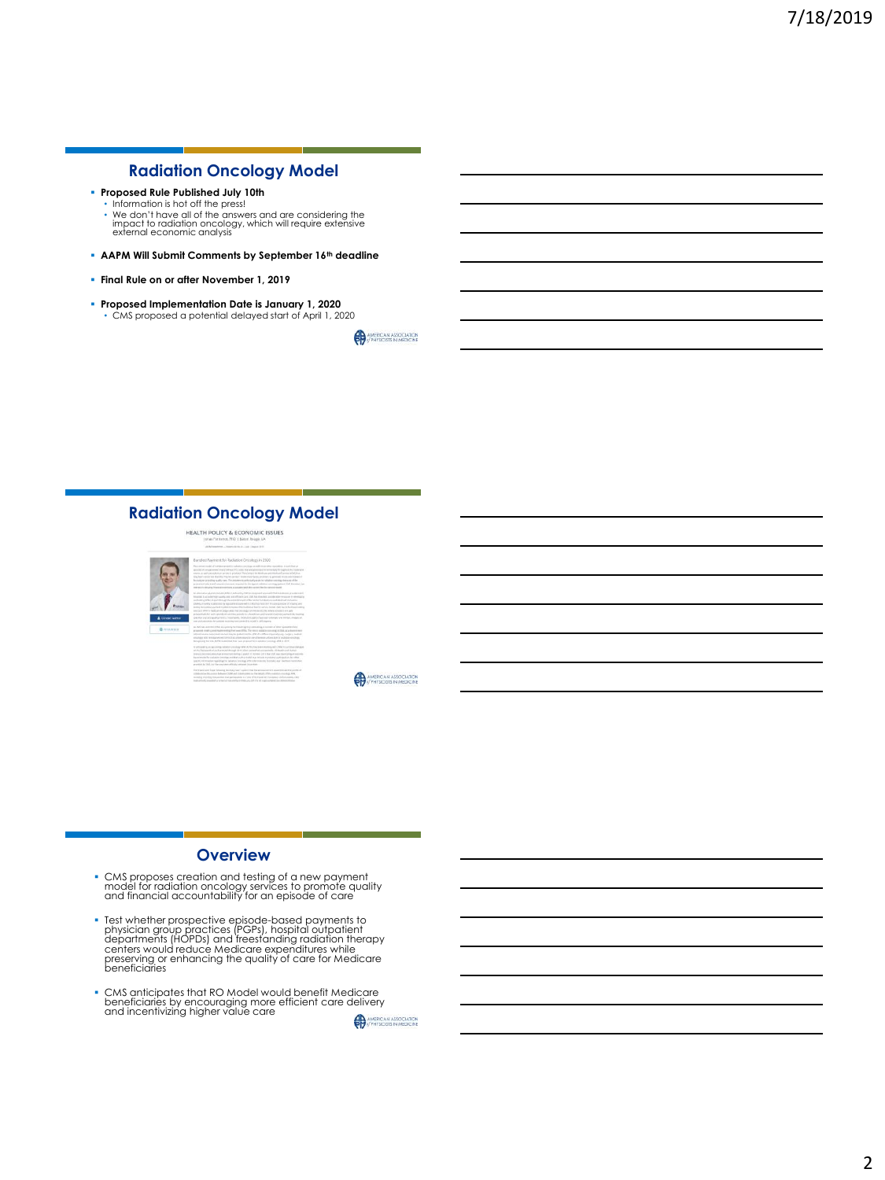# **Radiation Oncology Model**

- **Proposed Rule Published July 10th**
	- Information is hot off the press! • We don't have all of the answers and are considering the impact to radiation oncology, which will require extensive external economic analysis
- **AAPM Will Submit Comments by September 16th deadline**
- **Final Rule on or after November 1, 2019**
- **Proposed Implementation Date is January 1, 2020** • CMS proposed a potential delayed start of April 1, 2020

AMERICAN ASSOCIATION

**AMERICAN ASSOCIATION** 

### **Radiation Oncology Model**



- **Overview**
- CMS proposes creation and testing of a new payment model for radiation oncology services to promote quality and financial accountability for an episode of care
- Test whether prospective episode-based payments to<br>physician group practices (PGPs), hospital outpatient<br>departments (HOPDs) and freestanding radiation therapy<br>centers would reduce Medicare expenditures while<br>preserving
- CMS anticipates that RO Model would benefit Medicare beneficiaries by encouraging more efficient care delivery and incentivizing higher value care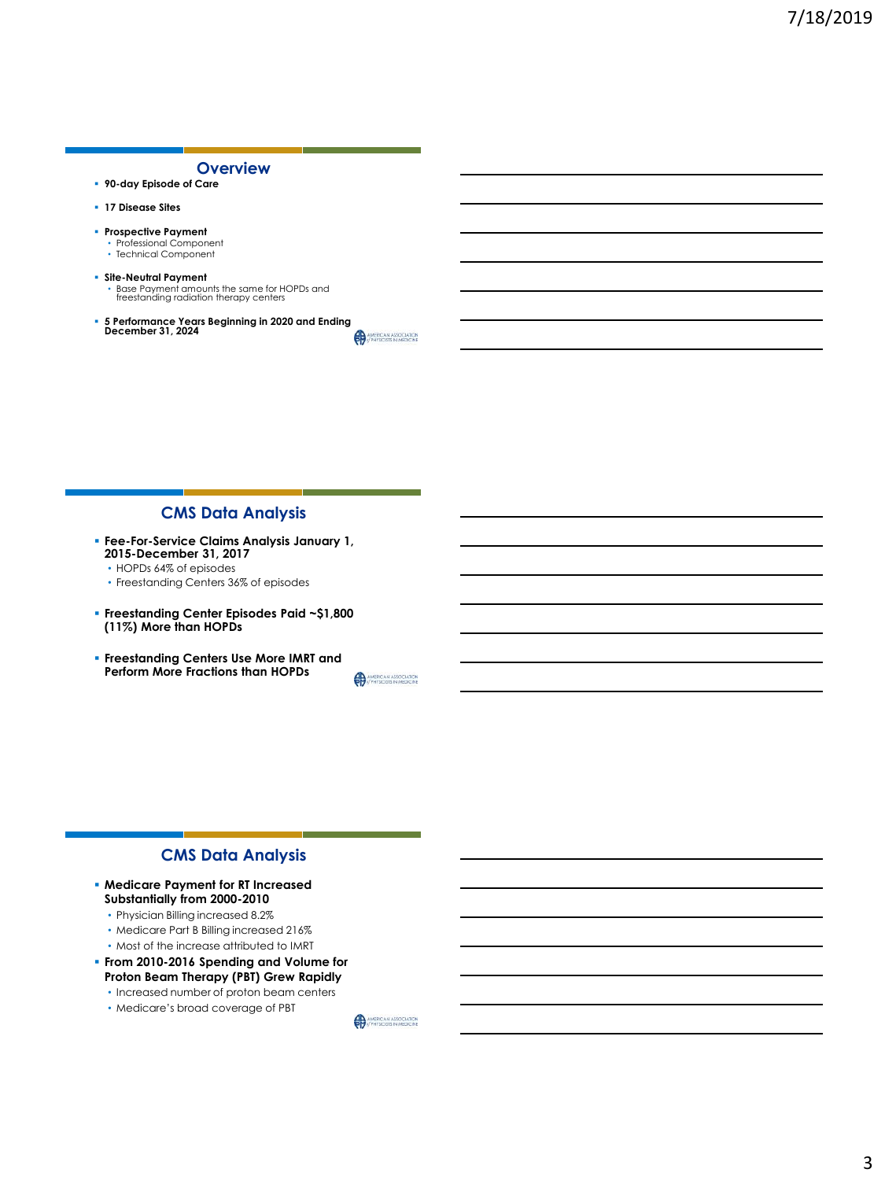

## **CMS Data Analysis**

- **Fee-For-Service Claims Analysis January 1, 2015-December 31, 2017**
	- HOPDs 64% of episodes
	- Freestanding Centers 36% of episodes
- **Freestanding Center Episodes Paid ~\$1,800 (11%) More than HOPDs**
- **Freestanding Centers Use More IMRT and Perform More Fractions than HOPDs**

AMERICAN ASSOCIATION

## **CMS Data Analysis**

- **Medicare Payment for RT Increased Substantially from 2000-2010**
	- Physician Billing increased 8.2%
	- Medicare Part B Billing increased 216%
	- Most of the increase attributed to IMRT
- **From 2010-2016 Spending and Volume for Proton Beam Therapy (PBT) Grew Rapidly**
	- Increased number of proton beam centers
	- Medicare's broad coverage of PBT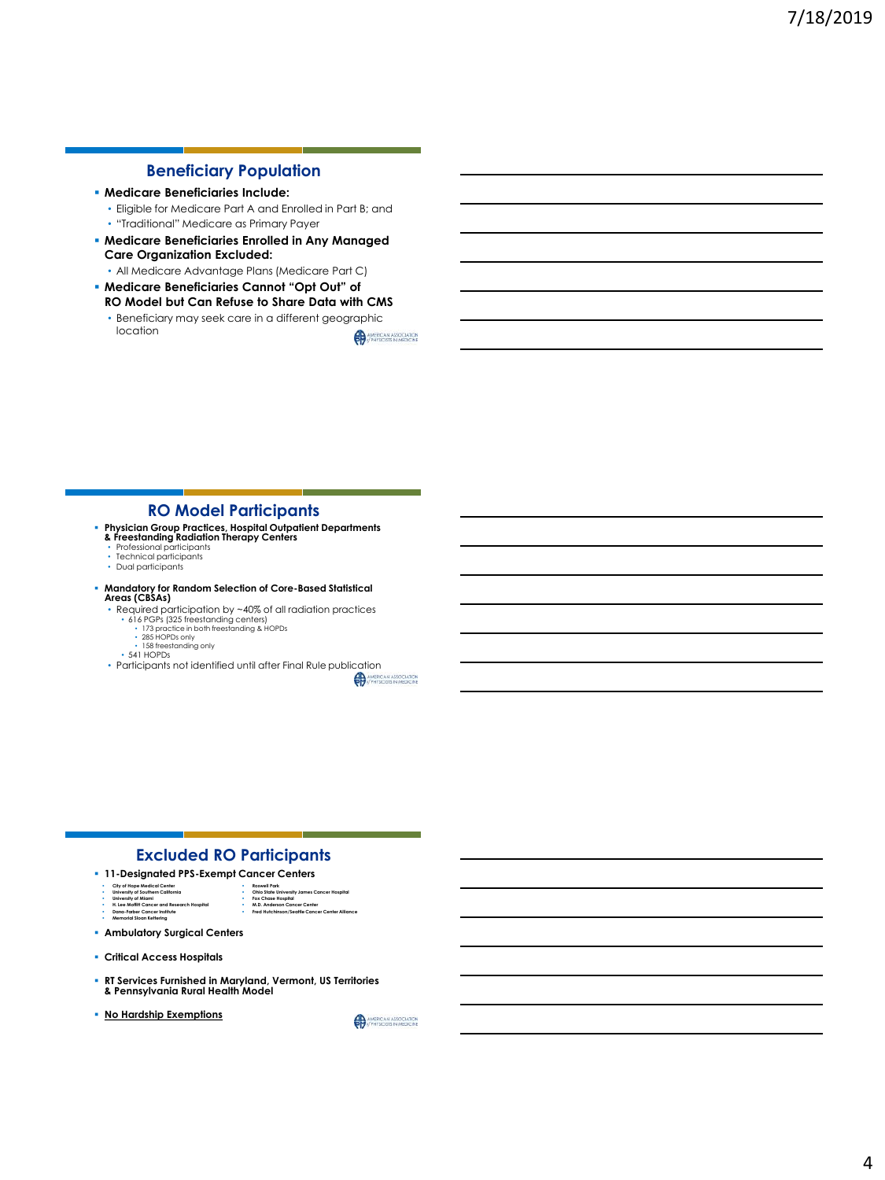# **Beneficiary Population**

#### ▪ **Medicare Beneficiaries Include:**

• Eligible for Medicare Part A and Enrolled in Part B; and • "Traditional" Medicare as Primary Payer

▪ **Medicare Beneficiaries Enrolled in Any Managed Care Organization Excluded:**

• All Medicare Advantage Plans (Medicare Part C)

▪ **Medicare Beneficiaries Cannot "Opt Out" of RO Model but Can Refuse to Share Data with CMS**  • Beneficiary may seek care in a different geographic

location AMERICAN ASSOCIATION

### **RO Model Participants**

- **Physician Group Practices, Hospital Outpatient Departments & Freestanding Radiation Therapy Centers** Professional participants
	-
	-
	- Technical participants Dual participants

# ▪ **Mandatory for Random Selection of Core-Based Statistical Areas (CBSAs)**

- Required participation by ~40% of all radiation practices
	-
	- 616 PGPs (325 freestanding centers) 173 practice in both freestanding & HOPDs 285 HOPDs only
	-
	- 158 freestanding only 541 HOPDs
- Participants not identified until after Final Rule publication<br>
A A MERCAN ANDERSE IN MERCAN ANDERSE IN MERCAN

#### **Excluded RO Participants**

- **11-Designated PPS-Exempt Cancer Centers**
- **City of Hope Medical Center University of Southern California**
	- **Roswell Park Ohio State University James Cancer Hospital**
- **University of Miami H. Lee Moffitt Cancer and Research Hospital Dana-Farber Cancer Institute Memorial Sloan Kettering**
- **Fox Chase Hospital M.D. Anderson Cancer Center Fred Hutchinson/Seattle Cancer Center Alliance**
- **Ambulatory Surgical Centers**
- **Critical Access Hospitals**
- **RT Services Furnished in Maryland, Vermont, US Territories & Pennsylvania Rural Health Model**
- **No Hardship Exemptions**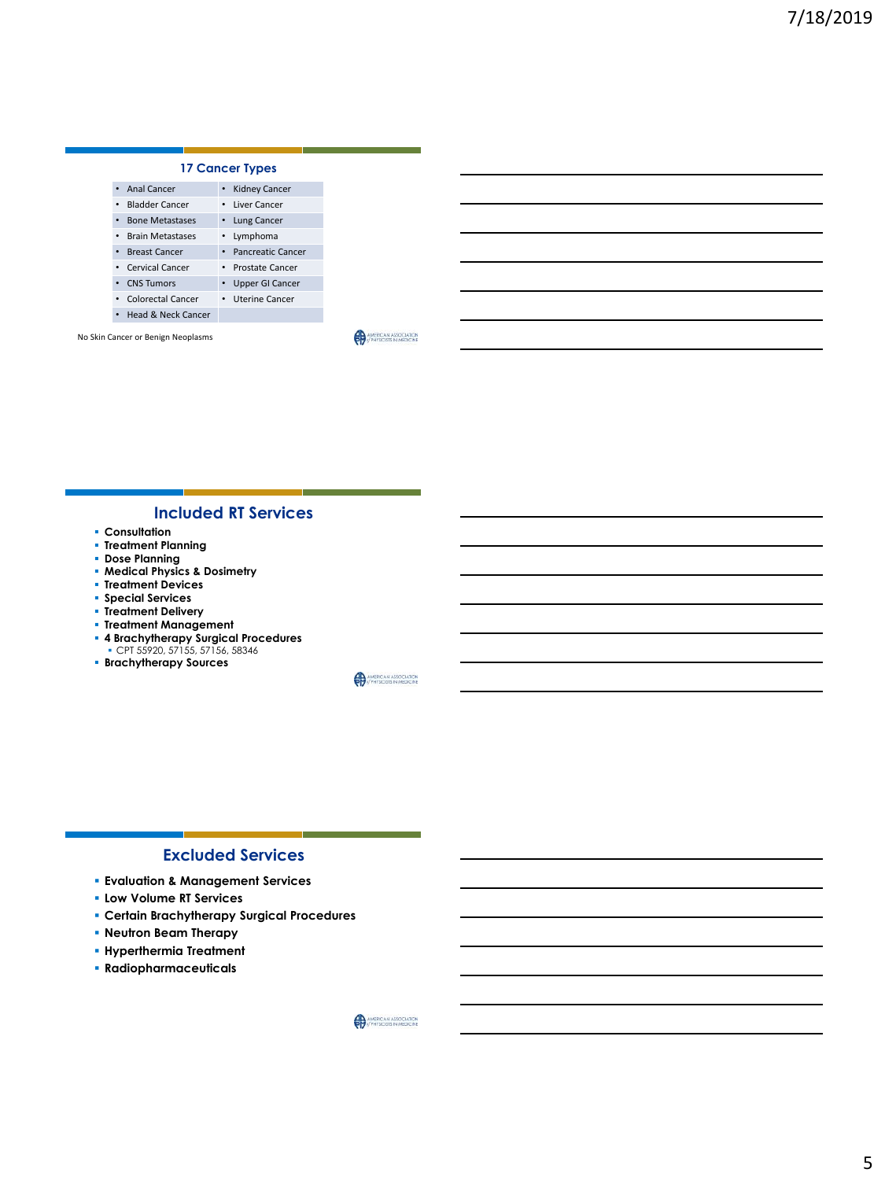| <b>17 Cancer Types</b>              |                      |  |
|-------------------------------------|----------------------|--|
| <b>Anal Cancer</b><br>$\bullet$     | <b>Kidney Cancer</b> |  |
| • Bladder Cancer                    | • Liver Cancer       |  |
| <b>Bone Metastases</b><br>$\bullet$ | • Lung Cancer        |  |
| • Brain Metastases                  | • Lymphoma           |  |
| • Breast Cancer                     | • Pancreatic Cancer  |  |
| • Cervical Cancer                   | • Prostate Cancer    |  |
| • CNS Tumors                        | • Upper GI Cancer    |  |
| • Colorectal Cancer                 | • Uterine Cancer     |  |
| • Head & Neck Cancer                |                      |  |
|                                     |                      |  |

No Skin Cancer or Benign Neoplasms

AMERICAN ASSOCIATION

## **Included RT Services**

- **Consultation**
- **Treatment Planning**
- **Dose Planning**
- **Medical Physics & Dosimetry**
- **Treatment Devices**
- **Special Services**
- **Treatment Delivery**
- **Treatment Management**
- **4 Brachytherapy Surgical Procedures**  CPT 55920, 57155, 57156, 58346
- **Brachytherapy Sources**

AMERICAN ASSOCIATION

### **Excluded Services**

- **Evaluation & Management Services**
- **Low Volume RT Services**
- **Certain Brachytherapy Surgical Procedures**
- **Neutron Beam Therapy**
- **Hyperthermia Treatment**
- **Radiopharmaceuticals**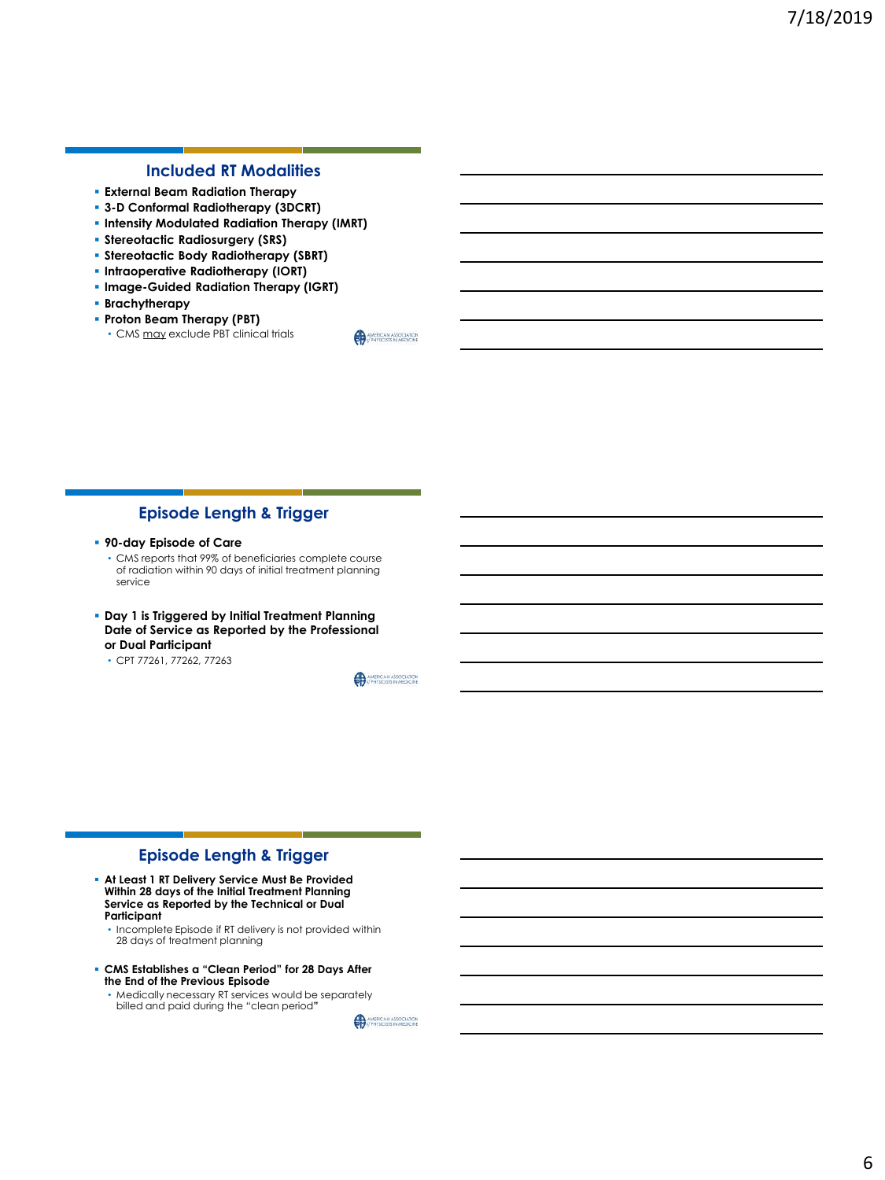# **Included RT Modalities**

- **External Beam Radiation Therapy**
- **3-D Conformal Radiotherapy (3DCRT)**
- **Intensity Modulated Radiation Therapy (IMRT)**
- **Stereotactic Radiosurgery (SRS)**
- **Stereotactic Body Radiotherapy (SBRT)**
- **Intraoperative Radiotherapy (IORT)**
- **Image-Guided Radiation Therapy (IGRT)**
- **Brachytherapy**
- **Proton Beam Therapy (PBT)** • CMS may exclude PBT clinical trials

**Episode Length & Trigger**

#### ▪ **90-day Episode of Care**

• CMS reports that 99% of beneficiaries complete course of radiation within 90 days of initial treatment planning service

- **Day 1 is Triggered by Initial Treatment Planning Date of Service as Reported by the Professional or Dual Participant**
	- CPT 77261, 77262, 77263

**AMERICAN ASSOCIATION** 

AMERICAN ASSOCIATION

## **Episode Length & Trigger**

- **At Least 1 RT Delivery Service Must Be Provided Within 28 days of the Initial Treatment Planning Service as Reported by the Technical or Dual Participant**
	- Incomplete Episode if RT delivery is not provided within 28 days of treatment planning
- **CMS Establishes a "Clean Period" for 28 Days After the End of the Previous Episode**
	- Medically necessary RT services would be separately billed and paid during the "clean period**"**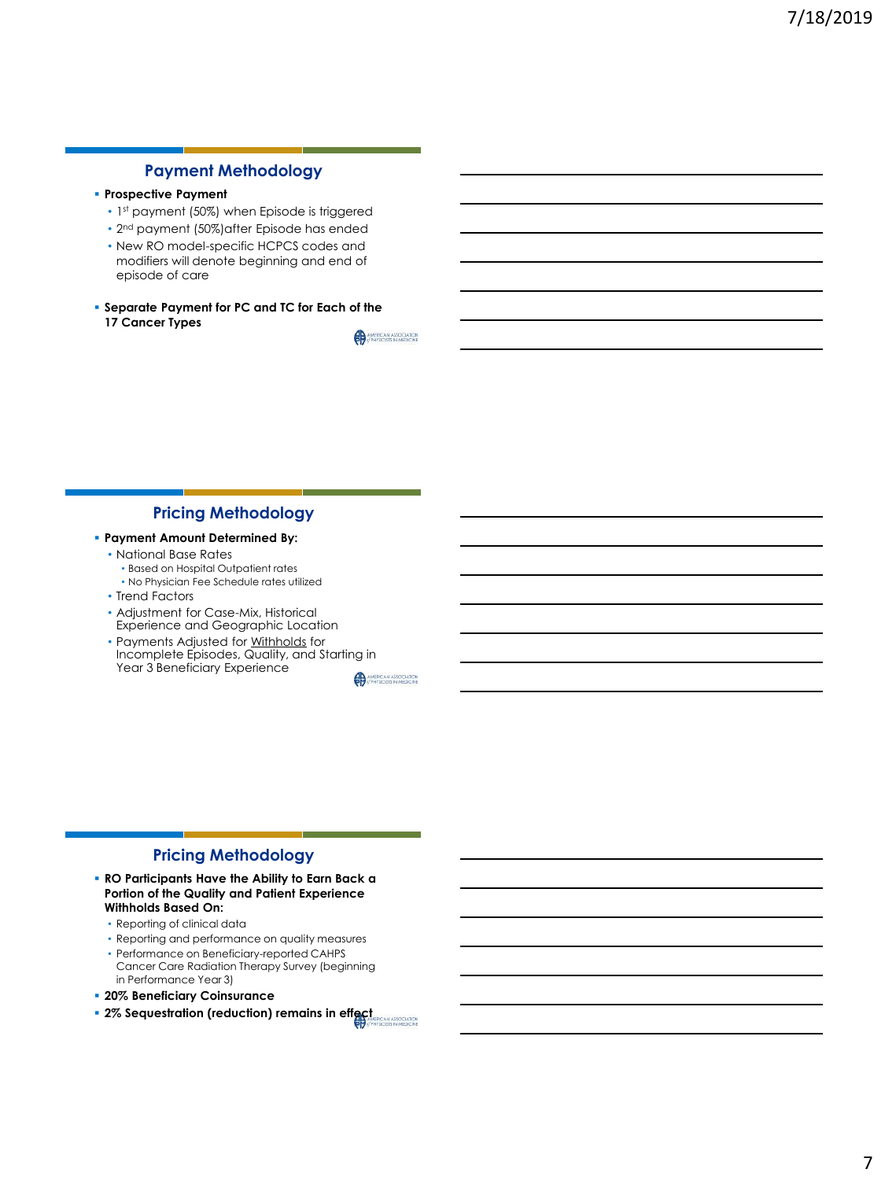# **Payment Methodology**

## ▪ **Prospective Payment**

- 1st payment (50%) when Episode is triggered
- 2<sup>nd</sup> payment (50%)after Episode has ended
- New RO model-specific HCPCS codes and modifiers will denote beginning and end of episode of care
- **Separate Payment for PC and TC for Each of the 17 Cancer Types** AMERICAN ASSOCIATION

**Pricing Methodology**

- **Payment Amount Determined By:**
	- National Base Rates
		- Based on Hospital Outpatient rates
		- No Physician Fee Schedule rates utilized
	- Trend Factors
	- Adjustment for Case-Mix, Historical Experience and Geographic Location
	- Payments Adjusted for Withholds for Incomplete Episodes, Quality, and Starting in Year 3 Beneficiary Experience

**AMERICAN ASSOCIATION** 

## **Pricing Methodology**

- **RO Participants Have the Ability to Earn Back a Portion of the Quality and Patient Experience Withholds Based On:**
	- Reporting of clinical data
	- Reporting and performance on quality measures
	- Performance on Beneficiary-reported CAHPS Cancer Care Radiation Therapy Survey (beginning in Performance Year 3)
- **20% Beneficiary Coinsurance**
- **2% Sequestration (reduction) remains in effect**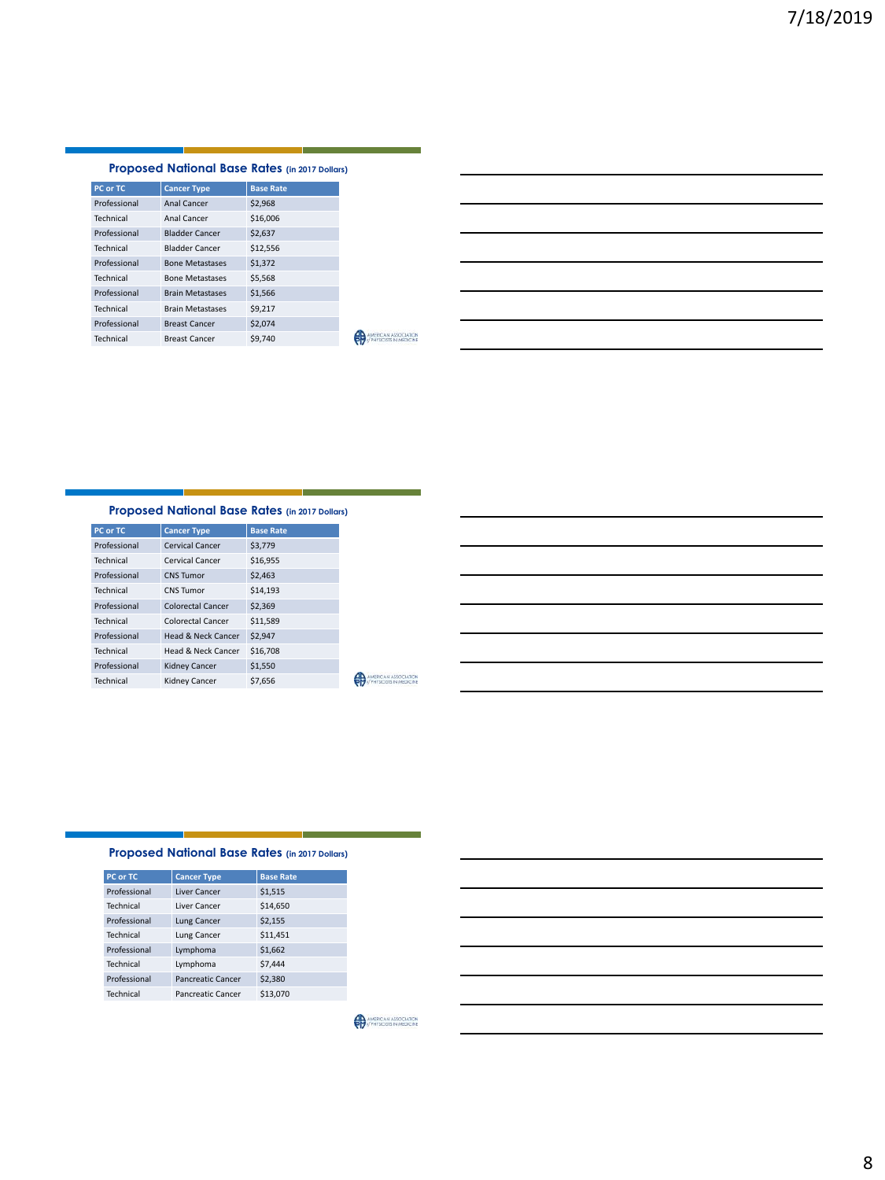### **Proposed National Base Rates (in 2017 Dollars)**

| PC or TC     | <b>Cancer Type</b>      | <b>Base Rate</b> |
|--------------|-------------------------|------------------|
| Professional | Anal Cancer             | \$2,968          |
| Technical    | Anal Cancer             | \$16,006         |
| Professional | <b>Bladder Cancer</b>   | \$2.637          |
| Technical    | <b>Bladder Cancer</b>   | \$12,556         |
| Professional | <b>Bone Metastases</b>  | \$1,372          |
| Technical    | <b>Bone Metastases</b>  | \$5.568          |
| Professional | <b>Brain Metastases</b> | \$1,566          |
| Technical    | <b>Brain Metastases</b> | \$9.217          |
| Professional | <b>Breast Cancer</b>    | \$2,074          |
| Technical    | <b>Breast Cancer</b>    | \$9,740          |

| <u> 1989 - Johann Stoff, deutscher Stoffen und der Stoffen und der Stoffen und der Stoffen und der Stoffen und der</u> |  |                                                                                 |  |
|------------------------------------------------------------------------------------------------------------------------|--|---------------------------------------------------------------------------------|--|
|                                                                                                                        |  |                                                                                 |  |
|                                                                                                                        |  |                                                                                 |  |
| <u> 1989 - Johann Barn, amerikansk politiker (d. 1989)</u>                                                             |  | the contract of the contract of the contract of the contract of the contract of |  |
| <u> 1989 - Johann Barn, amerikansk politiker (</u>                                                                     |  |                                                                                 |  |
|                                                                                                                        |  |                                                                                 |  |
|                                                                                                                        |  |                                                                                 |  |

#### **Proposed National Base Rates (in 2017 Dollars)**

| PC or TC     | <b>Cancer Type</b>       | <b>Base Rate</b> |
|--------------|--------------------------|------------------|
| Professional | Cervical Cancer          | \$3,779          |
| Technical    | Cervical Cancer          | \$16,955         |
| Professional | CNS Tumor                | \$2,463          |
| Technical    | CNS Tumor                | \$14,193         |
| Professional | Colorectal Cancer        | \$2,369          |
| Technical    | <b>Colorectal Cancer</b> | \$11,589         |
| Professional | Head & Neck Cancer       | \$2,947          |
| Technical    | Head & Neck Cancer       | \$16,708         |
| Professional | <b>Kidney Cancer</b>     | \$1,550          |
| Technical    | <b>Kidney Cancer</b>     | \$7.656          |

AMERICAN ASSOCIATION

### **Proposed National Base Rates (in 2017 Dollars)**

| PC or TC     | <b>Cancer Type</b> | <b>Base Rate</b> |
|--------------|--------------------|------------------|
| Professional | Liver Cancer       | \$1,515          |
| Technical    | Liver Cancer       | \$14,650         |
| Professional | Lung Cancer        | \$2,155          |
| Technical    | Lung Cancer        | \$11,451         |
| Professional | Lymphoma           | \$1,662          |
| Technical    | Lymphoma           | \$7,444          |
| Professional | Pancreatic Cancer  | \$2,380          |
| Technical    | Pancreatic Cancer  | \$13,070         |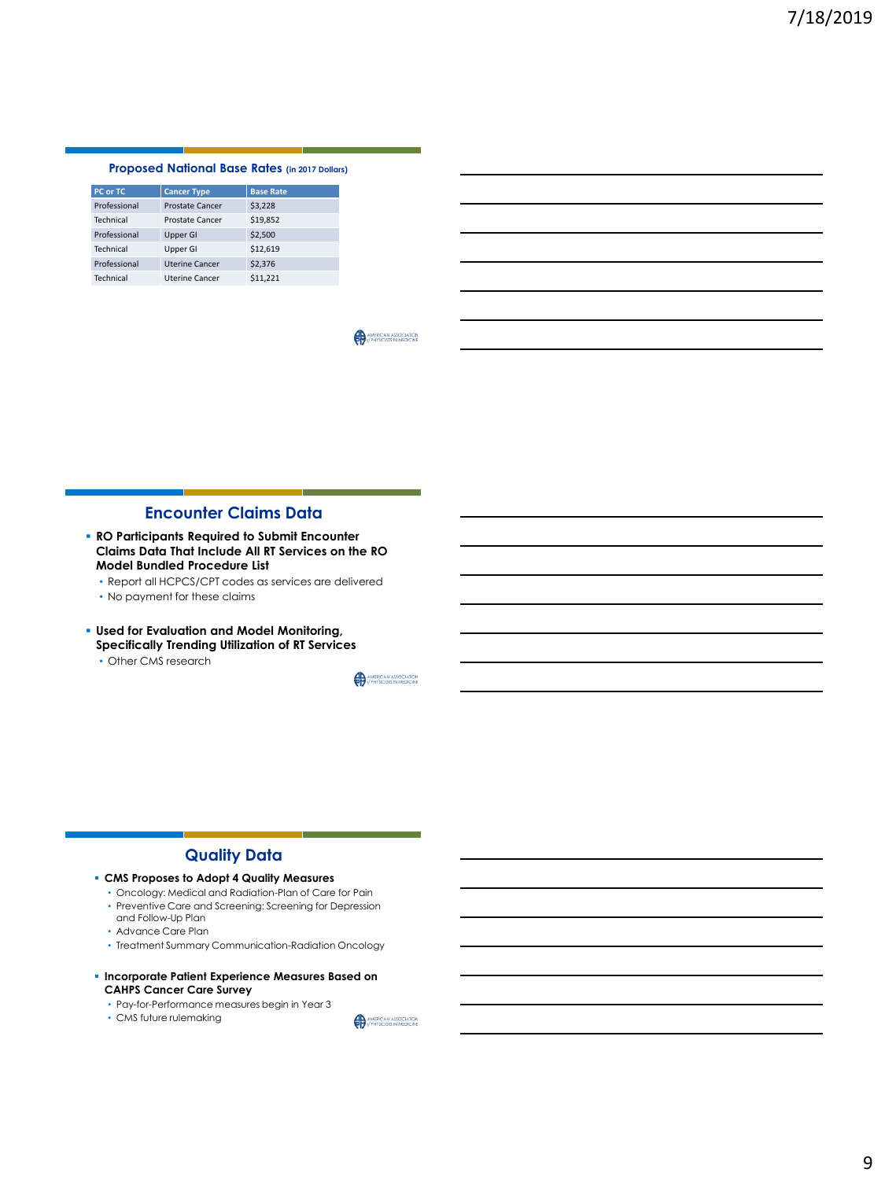#### **Proposed National Base Rates (in 2017 Dollars)**

| PC or TC     | <b>Cancer Type</b>     | <b>Base Rate</b> |
|--------------|------------------------|------------------|
| Professional | <b>Prostate Cancer</b> | \$3,228          |
| Technical    | Prostate Cancer        | \$19,852         |
| Professional | <b>Upper GI</b>        | \$2,500          |
| Technical    | Upper GI               | \$12,619         |
| Professional | <b>Uterine Cancer</b>  | \$2,376          |
| Technical    | <b>Uterine Cancer</b>  | \$11.221         |

AMERICAN ASSOCIATION

## **Encounter Claims Data**

- **RO Participants Required to Submit Encounter Claims Data That Include All RT Services on the RO Model Bundled Procedure List**
	- Report all HCPCS/CPT codes as services are delivered
	- No payment for these claims
- **Used for Evaluation and Model Monitoring, Specifically Trending Utilization of RT Services**
	- Other CMS research

AMERICAN ASSOCIATION

## **Quality Data**

- **CMS Proposes to Adopt 4 Quality Measures**
	- Oncology: Medical and Radiation-Plan of Care for Pain
	- Preventive Care and Screening: Screening for Depression and Follow-Up Plan
	- Advance Care Plan
	- Treatment Summary Communication-Radiation Oncology

#### ▪ **Incorporate Patient Experience Measures Based on CAHPS Cancer Care Survey**

- Pay-for-Performance measures begin in Year 3
- CMS future rulemaking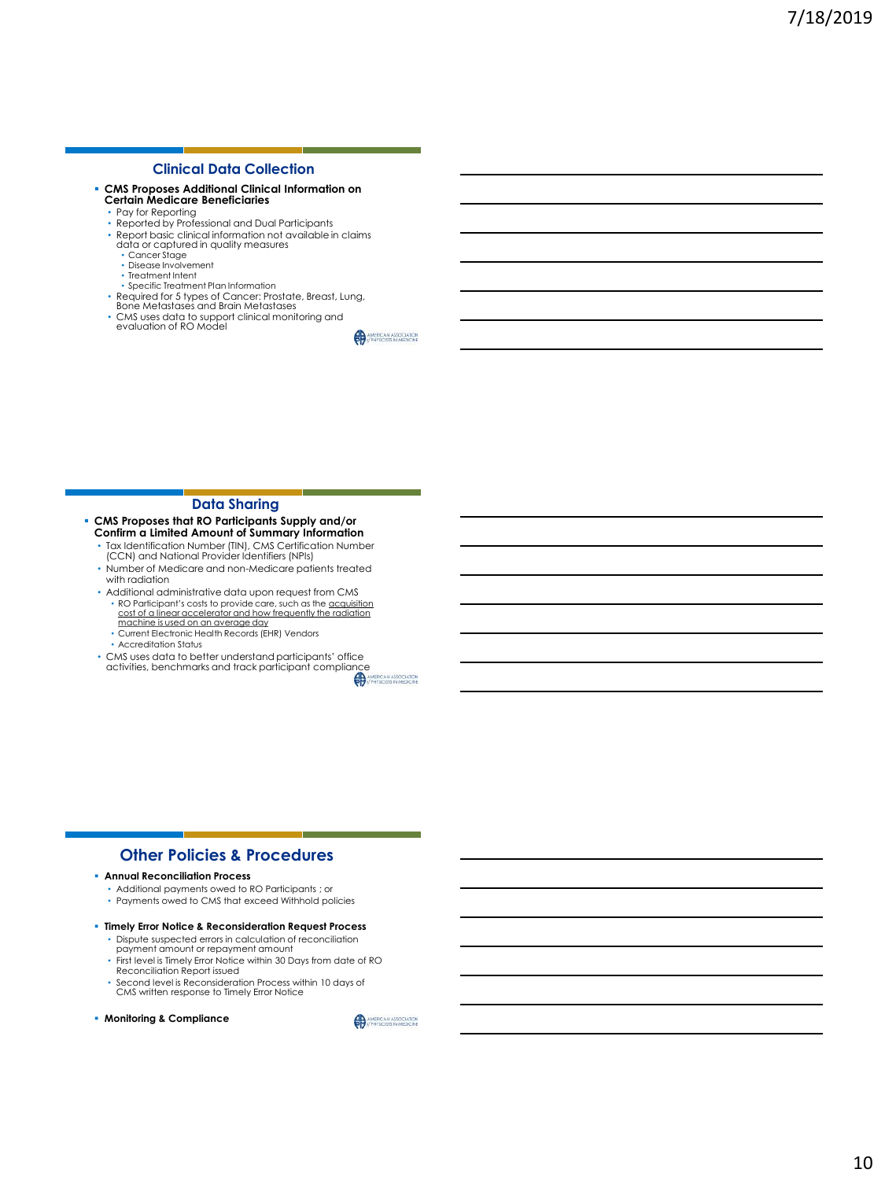#### **Clinical Data Collection**

- **CMS Proposes Additional Clinical Information on Certain Medicare Beneficiaries** Pay for Reporting
	- Reported by Professional and Dual Participants
	-
	- Report basic clinical information not available in claims data or captured in quality measures
		- Cancer Stage • Disease Involvement
		- Treatment Intent
		- Specific Treatment Plan Information
	-
	- Required for 5 types of Cancer: Prostate, Breast, Lung, Bone Metastases and Brain Metastases
	- CMS uses data to support clinical monitoring and evaluation of RO Model

**Data Sharing**

- **CMS Proposes that RO Participants Supply and/or Confirm a Limited Amount of Summary Information**
	- Tax Identification Number (TIN), CMS Certification Number (CCN) and National Provider Identifiers (NPIs)
	- Number of Medicare and non-Medicare patients treated with radiation
	- Additional administrative data upon request from CMS • RO Participant's costs to provide care, such as the <u>acquisition</u><br>cost of a linear accelerator and how frequently the radiation
		- machine is used on an average day • Current Electronic Health Records (EHR) Vendors
		- Accreditation Status
	- CMS uses data to better understand participants' office CMS uses data to better understand participants only activities, benchmarks and track participant compliance

## **Other Policies & Procedures**

- **Annual Reconciliation Process**
	- Additional payments owed to RO Participants ; or
	- Payments owed to CMS that exceed Withhold policies
- **Timely Error Notice & Reconsideration Request Process**
	- Dispute suspected errors in calculation of reconciliation payment amount or repayment amount
	- First level is Timely Error Notice within 30 Days from date of RO Reconciliation Report issued
	- Second level is Reconsideration Process within 10 days of CMS written response to Timely Error Notice
- **Monitoring & Compliance**

AMERICAN ASSOCIATION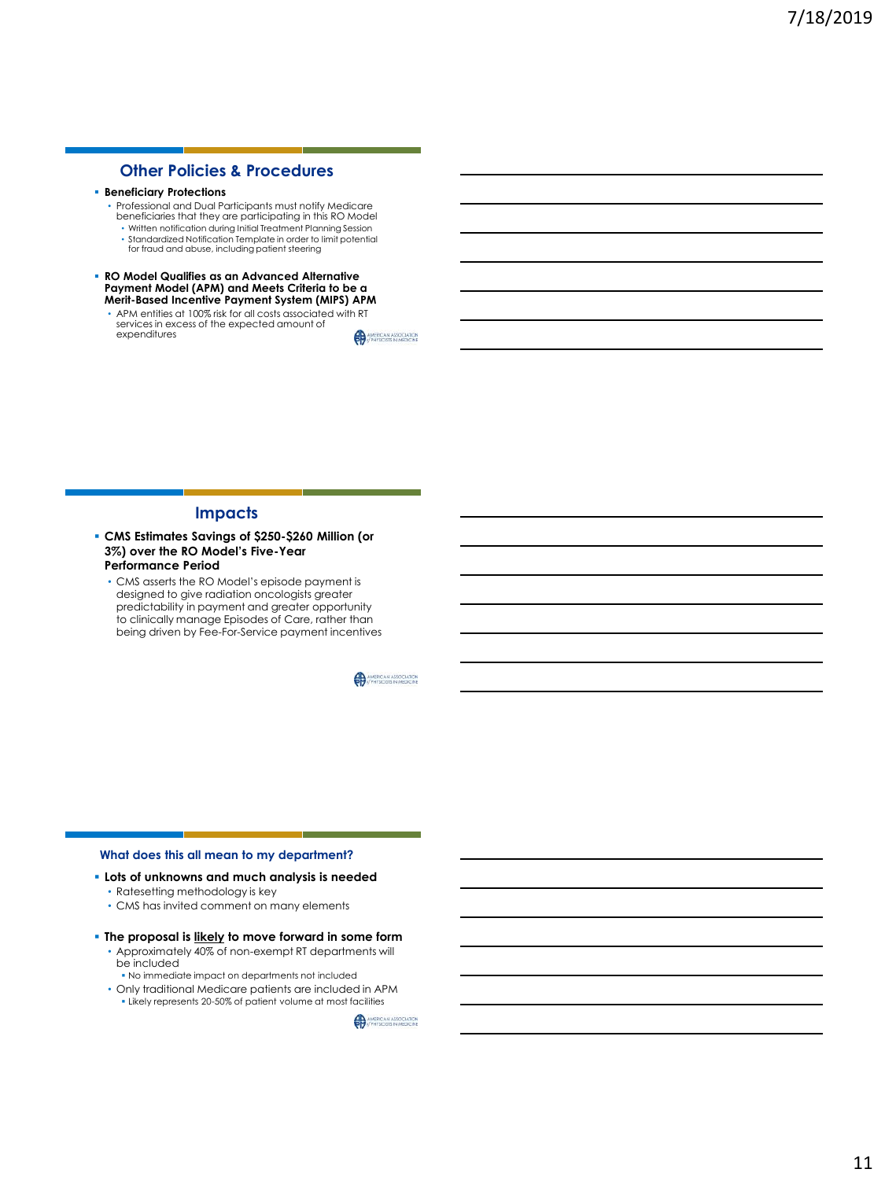# **Other Policies & Procedures**

- **Beneficiary Protections**
	- Professional and Dual Participants must notify Medicare beneficiaries that they are participating in this RO Model
	- Written notification during Initial Treatment Planning Session
	- Standardized Notification Template in order to limit potential for fraud and abuse, including patient steering
- **RO Model Qualifies as an Advanced Alternative Payment Model (APM) and Meets Criteria to be a Merit-Based Incentive Payment System (MIPS) APM**
	- APM entities at 100% risk for all costs associated with RT services in excess of the expected amount of expenditures AMERICAN ASSOCIATION

**Impacts**

- **CMS Estimates Savings of \$250-\$260 Million (or 3%) over the RO Model's Five-Year Performance Period**
	- CMS asserts the RO Model's episode payment is designed to give radiation oncologists greater predictability in payment and greater opportunity to clinically manage Episodes of Care, rather than being driven by Fee-For-Service payment incentives

AMERICAN ASSOCIATION

#### **What does this all mean to my department?**

- **Lots of unknowns and much analysis is needed**
	- Ratesetting methodology is key
	- CMS has invited comment on many elements
- **The proposal is likely to move forward in some form**
	- Approximately 40% of non-exempt RT departments will be included
	- No immediate impact on departments not included • Only traditional Medicare patients are included in APM
		- Likely represents 20-50% of patient volume at most facilities